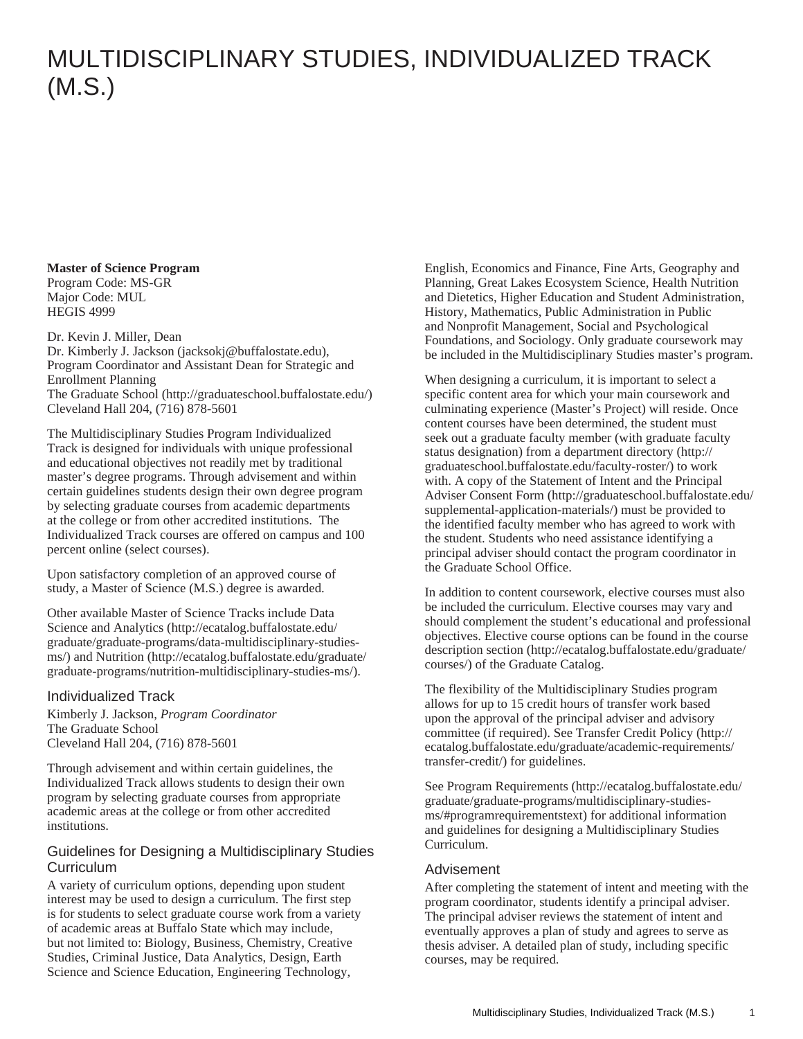# MULTIDISCIPLINARY STUDIES, INDIVIDUALIZED TRACK (M.S.)

## **Master of Science Program**

Program Code: MS-GR Major Code: MUL HEGIS 4999

Dr. Kevin J. Miller, Dean

[Dr. Kimberly J. Jackson](mailto:jacksokj@buffalostate.edu) (<jacksokj@buffalostate.edu>), Program Coordinator and Assistant Dean for Strategic and Enrollment Planning [The Graduate School](http://graduateschool.buffalostate.edu/) ([http://graduateschool.buffalostate.edu/\)](http://graduateschool.buffalostate.edu/)

Cleveland Hall 204, (716) 878-5601

The Multidisciplinary Studies Program Individualized Track is designed for individuals with unique professional and educational objectives not readily met by traditional master's degree programs. Through advisement and within certain guidelines students design their own degree program by selecting graduate courses from academic departments at the college or from other accredited institutions. The Individualized Track courses are offered on campus and 100 percent online (select courses).

Upon satisfactory completion of an approved course of study, a Master of Science (M.S.) degree is awarded.

Other available Master of Science Tracks include [Data](http://ecatalog.buffalostate.edu/graduate/graduate-programs/data-multidisciplinary-studies-ms/) [Science and Analytics](http://ecatalog.buffalostate.edu/graduate/graduate-programs/data-multidisciplinary-studies-ms/) ([http://ecatalog.buffalostate.edu/](http://ecatalog.buffalostate.edu/graduate/graduate-programs/data-multidisciplinary-studies-ms/) [graduate/graduate-programs/data-multidisciplinary-studies](http://ecatalog.buffalostate.edu/graduate/graduate-programs/data-multidisciplinary-studies-ms/)[ms/](http://ecatalog.buffalostate.edu/graduate/graduate-programs/data-multidisciplinary-studies-ms/)) and [Nutrition](http://ecatalog.buffalostate.edu/graduate/graduate-programs/nutrition-multidisciplinary-studies-ms/) ([http://ecatalog.buffalostate.edu/graduate/](http://ecatalog.buffalostate.edu/graduate/graduate-programs/nutrition-multidisciplinary-studies-ms/) [graduate-programs/nutrition-multidisciplinary-studies-ms/](http://ecatalog.buffalostate.edu/graduate/graduate-programs/nutrition-multidisciplinary-studies-ms/)).

### Individualized Track

Kimberly J. Jackson, *Program Coordinator* The Graduate School Cleveland Hall 204, (716) 878-5601

Through advisement and within certain guidelines, the Individualized Track allows students to design their own program by selecting graduate courses from appropriate academic areas at the college or from other accredited institutions.

#### Guidelines for Designing a Multidisciplinary Studies **Curriculum**

A variety of curriculum options, depending upon student interest may be used to design a curriculum. The first step is for students to select graduate course work from a variety of academic areas at Buffalo State which may include, but not limited to: Biology, Business, Chemistry, Creative Studies, Criminal Justice, Data Analytics, Design, Earth Science and Science Education, Engineering Technology,

English, Economics and Finance, Fine Arts, Geography and Planning, Great Lakes Ecosystem Science, Health Nutrition and Dietetics, Higher Education and Student Administration, History, Mathematics, Public Administration in Public and Nonprofit Management, Social and Psychological Foundations, and Sociology. Only graduate coursework may be included in the Multidisciplinary Studies master's program.

When designing a curriculum, it is important to select a specific content area for which your main coursework and culminating experience (Master's Project) will reside. Once content courses have been determined, the student must seek out a graduate faculty member (with graduate faculty status designation) from a [department directory](http://graduateschool.buffalostate.edu/faculty-roster/) ([http://](http://graduateschool.buffalostate.edu/faculty-roster/) [graduateschool.buffalostate.edu/faculty-roster/\)](http://graduateschool.buffalostate.edu/faculty-roster/) to work with. A copy of the Statement of Intent and the [Principal](http://graduateschool.buffalostate.edu/supplemental-application-materials/) [Adviser Consent Form](http://graduateschool.buffalostate.edu/supplemental-application-materials/) ([http://graduateschool.buffalostate.edu/](http://graduateschool.buffalostate.edu/supplemental-application-materials/) [supplemental-application-materials/\)](http://graduateschool.buffalostate.edu/supplemental-application-materials/) must be provided to the identified faculty member who has agreed to work with the student. Students who need assistance identifying a principal adviser should contact the program coordinator in the Graduate School Office.

In addition to content coursework, elective courses must also be included the curriculum. Elective courses may vary and should complement the student's educational and professional objectives. Elective course options can be found in the [course](http://ecatalog.buffalostate.edu/graduate/courses/) [description section](http://ecatalog.buffalostate.edu/graduate/courses/) [\(http://ecatalog.buffalostate.edu/graduate/](http://ecatalog.buffalostate.edu/graduate/courses/) [courses/\)](http://ecatalog.buffalostate.edu/graduate/courses/) of the Graduate Catalog.

The flexibility of the Multidisciplinary Studies program allows for up to 15 credit hours of transfer work based upon the approval of the principal adviser and advisory committee (if required). See [Transfer Credit Policy](http://ecatalog.buffalostate.edu/graduate/academic-requirements/transfer-credit/) ([http://](http://ecatalog.buffalostate.edu/graduate/academic-requirements/transfer-credit/) [ecatalog.buffalostate.edu/graduate/academic-requirements/](http://ecatalog.buffalostate.edu/graduate/academic-requirements/transfer-credit/) [transfer-credit/](http://ecatalog.buffalostate.edu/graduate/academic-requirements/transfer-credit/)) for guidelines.

See [Program Requirements](http://ecatalog.buffalostate.edu/graduate/graduate-programs/multidisciplinary-studies-ms/#programrequirementstext) [\(http://ecatalog.buffalostate.edu/](http://ecatalog.buffalostate.edu/graduate/graduate-programs/multidisciplinary-studies-ms/#programrequirementstext) [graduate/graduate-programs/multidisciplinary-studies](http://ecatalog.buffalostate.edu/graduate/graduate-programs/multidisciplinary-studies-ms/#programrequirementstext)[ms/#programrequirementstext\)](http://ecatalog.buffalostate.edu/graduate/graduate-programs/multidisciplinary-studies-ms/#programrequirementstext) for additional information and guidelines for designing a Multidisciplinary Studies Curriculum.

### Advisement

After completing the statement of intent and meeting with the program coordinator, students identify a principal adviser. The principal adviser reviews the statement of intent and eventually approves a plan of study and agrees to serve as thesis adviser. A detailed plan of study, including specific courses, may be required.